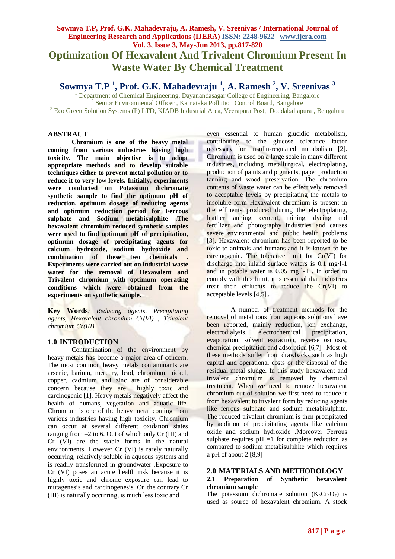# **Sowmya T.P, Prof. G.K. Mahadevraju, A. Ramesh, V. Sreenivas / International Journal of Engineering Research and Applications (IJERA) ISSN: 2248-9622 www.ijera.com Vol. 3, Issue 3, May-Jun 2013, pp.817-820 Optimization Of Hexavalent And Trivalent Chromium Present In Waste Water By Chemical Treatment**

**Sowmya T.P <sup>1</sup> , Prof. G.K. Mahadevraju <sup>1</sup> , A. Ramesh <sup>2</sup> , V. Sreenivas <sup>3</sup>**

1.<br>1 Department of Chemical Engineering, Dayanandasagar College of Engineering, Bangalore <sup>2</sup> Senior Environmental Officer, Karnataka Pollution Control Board, Bangalore <sup>3</sup> Eco Green Solution Systems (P) LTD, KIADB Industrial Area, Veerapura Post, Doddaballapura , Bengaluru

## **ABSTRACT**

**Chromium is one of the heavy metal coming from various industries having high toxicity. The main objective is to adopt appropriate methods and to develop suitable techniques either to prevent metal pollution or to reduce it to very low levels. Initially, experiments were conducted on Potassium dichromate synthetic sample to find the optimum pH of reduction, optimum dosage of reducing agents and optimum reduction period for Ferrous sulphate and Sodium metabisulphite .The hexavalent chromium reduced synthetic samples were used to find optimum pH of precipitation, optimum dosage of precipitating agents for calcium hydroxide, sodium hydroxide and combination of these two chemicals . Experiments were carried out on industrial waste water for the removal of Hexavalent and Trivalent chromium with optimum operating conditions which were obtained from the experiments on synthetic sample.**

**Key Words***: Reducing agents, Precipitating agents, Hexavalent chromium Cr(VI) , Trivalent chromium Cr(III).*

## **1.0 INTRODUCTION**

Contamination of the environment by heavy metals has become a major area of concern. The most common heavy metals contaminants are arsenic, barium, mercury, lead, chromium, nickel, copper, cadmium and zinc are of considerable concern because they are highly toxic and carcinogenic [1]. Heavy metals negatively affect the health of humans, vegetation and aquatic life. Chromium is one of the heavy metal coming from various industries having high toxicity. Chromium can occur at several different oxidation states ranging from –2 to 6. Out of which only Cr (III) and Cr (VI) are the stable forms in the natural environments. However Cr (VI) is rarely naturally occurring, relatively soluble in aqueous systems and is readily transformed in groundwater .Exposure to Cr (VI) poses an acute health risk because it is highly toxic and chronic exposure can lead to mutagenesis and carcinogenesis. On the contrary Cr (III) is naturally occurring, is much less toxic and

even essential to human glucidic metabolism, contributing to the glucose tolerance factor necessary for insulin-regulated metabolism [2]. Chromium is used on a large scale in many different industries, including metallurgical, electroplating, production of paints and pigments, paper production tanning and wood preservation. The chromium contents of waste water can be effectively removed to acceptable levels by precipitating the metals to insoluble form Hexavalent chromium is present in the effluents produced during the electroplating, leather tanning, cement, mining, dyeing and fertilizer and photography industries and causes severe environmental and public health problems [3]. Hexavalent chromium has been reported to be toxic to animals and humans and it is known to be carcinogenic. The tolerance limit for Cr(VI) for discharge into inland surface waters is 0.1 mg·l-1 and in potable water is 0.05 mg·l-1 . In order to comply with this limit, it is essential that industries treat their effluents to reduce the Cr(VI) to acceptable levels [4,5].**.**

A number of treatment methods for the removal of metal ions from aqueous solutions have been reported, mainly reduction, ion exchange, electrodialysis, electrochemical precipitation, evaporation, solvent extraction, reverse osmosis, chemical precipitation and adsorption [6,7] . Most of these methods suffer from drawbacks such as high capital and operational costs or the disposal of the residual metal sludge. In this study hexavalent and trivalent chromium is removed by chemical treatment. When we need to remove hexavalent chromium out of solution we first need to reduce it from hexavalent to trivalent form by reducing agents like ferrous sulphate and sodium metabisulphite. The reduced trivalent chromium is then precipitated by addition of precipitating agents like calcium oxide and sodium hydroxide .Moreover Ferrous sulphate requires  $pH =1$  for complete reduction as compared to sodium metabisulphite which requires a pH of about 2 [8,9]

#### **2.0 MATERIALS AND METHODOLOGY 2.1 Preparation of Synthetic hexavalent chromium sample**

The potassium dichromate solution  $(K_2Cr_2O_7)$  is used as source of hexavalent chromium. A stock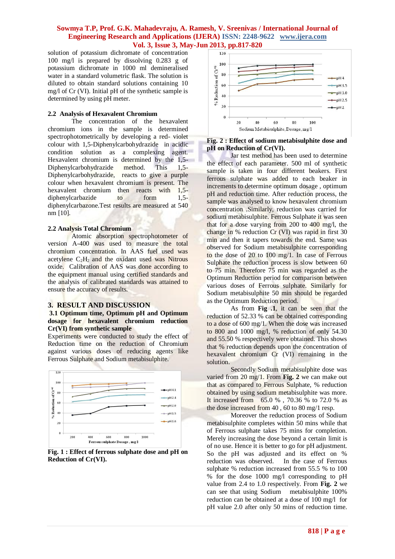## **Sowmya T.P, Prof. G.K. Mahadevraju, A. Ramesh, V. Sreenivas / International Journal of Engineering Research and Applications (IJERA) ISSN: 2248-9622 www.ijera.com Vol. 3, Issue 3, May-Jun 2013, pp.817-820**

solution of potassium dichromate of concentration 100 mg/l is prepared by dissolving 0.283 g of potassium dichromate in 1000 ml demineralised water in a standard volumetric flask. The solution is diluted to obtain standard solutions containing 10 mg/l of Cr (VI). Initial pH of the synthetic sample is determined by using pH meter.

#### **2.2 Analysis of Hexavalent Chromium**

The concentration of the hexavalent chromium ions in the sample is determined spectrophotometrically by developing a red- violet colour with 1,5-Diphenylcarbohydrazide in acidic condition solution as a complexing agent. Hexavalent chromium is determined by the 1,5- Diphenylcarbohydrazide method. This 1,5- Diphenylcarbohydrazide, reacts to give a purple colour when hexavalent chromium is present. The hexavalent chromium then reacts with 1,5 diphenylcarbazide to form 1,5 diphenylcarbazone.Test results are measured at 540 nm [10].

#### **2.2 Analysis Total Chromium**

Atomic absorption spectrophotometer of version A-400 was used to measure the total chromium concentration. In AAS fuel used was acetylene  $C_2H_2$  and the oxidant used was Nitrous oxide. Calibration of AAS was done according to the equipment manual using certified standards and the analysis of calibrated standards was attained to ensure the accuracy of results.

### **3. RESULT AND DISCUSSION**

### **3.1 Optimum time, Optimum pH and Optimum dosage for hexavalent chromium reduction Cr(VI) from synthetic sample**

Experiments were conducted to study the effect of Reduction time on the reduction of Chromium against various doses of reducing agents like Ferrous Sulphate and Sodium metabisulphite.



**Fig. 1 : Effect of ferrous sulphate dose and pH on Reduction of Cr(VI).**



### **Fig. 2 : Effect of sodium metabisulphite dose and pH on Reduction of Cr(VI).**

Jar test method has been used to determine the effect of each parameter. 500 ml of synthetic sample is taken in four different beakers. First ferrous sulphate was added to each beaker in increments to determine optimum dosage , optimum pH and reduction time. After reduction process, the sample was analysed to know hexavalent chromium concentration .Similarly, reduction was carried for sodium metabisulphite. Ferrous Sulphate it was seen that for a dose varying from 200 to 400 mg/l, the change in % reduction Cr (VI) was rapid in first 30 min and then it tapers towards the end. Same was observed for Sodium metabisulphite corresponding to the dose of 20 to 100 mg/1. In case of Ferrous Sulphate the reduction process is slow between 60 to 75 min. Therefore 75 min was regarded as the Optimum Reduction period for comparison between various doses of Ferrous sulphate. Similarly for Sodium metabisulphite 50 min should be regarded as the Optimum Reduction period.

As from **Fig .1**, it can be seen that the reduction of 52.33 % can be obtained corresponding to a dose of 600 mg/1. When the dose was increased to 800 and 1000 mg/l, % reduction of only 54.30 and 55.50 % respectively were obtained. This shows that % reduction depends upon the concentration of hexavalent chromium Cr (VI) remaining in the solution.

Secondly Sodium metabisulphite dose was varied from 20 mg/1. From **Fig. 2** we can make out that as compared to Ferrous Sulphate, % reduction obtained by using sodium metabisulphite was more. It increased from 65.0 % , 70.36 % to 72.0 % as the dose increased from 40 , 60 to 80 mg/1 resp.

Moreover the reduction process of Sodium metabisulphite completes within 50 mins while that of Ferrous sulphate takes 75 mins for completion. Merely increasing the dose beyond a certain limit is of no use. Hence it is better to go for pH adjustment. So the pH was adjusted and its effect on % reduction was observed. In the case of Ferrous sulphate % reduction increased from 55.5 % to 100 % for the dose 1000 mg/l corresponding to pH value from 2.4 to 1.0 respectively. From **Fig. 2** we can see that using Sodium metabisulphite 100% reduction can be obtained at a dose of 100 mg/l for pH value 2.0 after only 50 mins of reduction time.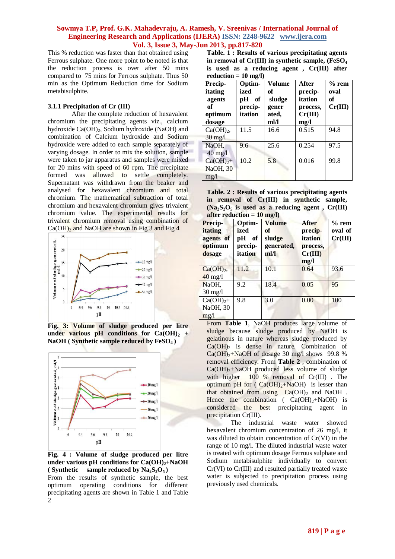## **Sowmya T.P, Prof. G.K. Mahadevraju, A. Ramesh, V. Sreenivas / International Journal of Engineering Research and Applications (IJERA) ISSN: 2248-9622 www.ijera.com Vol. 3, Issue 3, May-Jun 2013, pp.817-820**

This % reduction was faster than that obtained using Ferrous sulphate. One more point to be noted is that the reduction process is over after 50 mins compared to 75 mins for Ferrous sulphate. Thus 50 min as the Optimum Reduction time for Sodium metabisulphite.

#### **3.1.1 Precipitation of Cr (III)**

After the complete reduction of hexavalent chromium the precipitating agents viz., calcium hydroxide  $Ca(OH)_{2}$ , Sodium hydroxide (NaOH) and combination of Calcium hydroxide and Sodium hydroxide were added to each sample separately of varying dosage. In order to mix the solution, sample were taken to jar apparatus and samples were mixed for 20 mins with speed of 60 rpm. The precipitate formed was allowed to settle completely. Supernatant was withdrawn from the beaker and analysed for hexavalent chromium and total chromium. The mathematical subtraction of total chromium and hexavalent chromium gives trivalent chromium value. The experimental results for trivalent chromium removal using combination of  $Ca(OH)<sub>2</sub>$  and NaOH are shown in Fig 3 and Fig 4



**Fig. 3: Volume of sludge produced per litre**  under various pH conditions for  $Ca(OH)$ <sup>2</sup> + **NaOH ( Synthetic sample reduced by FeSO4 )**



**Fig. 4 : Volume of sludge produced per litre under various pH conditions for Ca(OH)2+NaOH (** Synthetic sample reduced by  $\text{Na}_2\text{S}_2\text{O}_5$ )

From the results of synthetic sample, the best optimum operating conditions for different precipitating agents are shown in Table 1 and Table  $\mathcal{D}$ 

**Table. 1 : Results of various precipitating agents in removal of Cr(III) in synthetic sample, (FeSO<sup>4</sup> is used as a reducing agent , Cr(III) after reduction = 10 mg/l)**

| <b>Precip-</b><br>itating<br>agents<br>of<br>optimum<br>dosage | Optim-<br>ized<br>pH<br>of<br>precip-<br>itation | Volume<br>of<br>sludge<br>gener<br>ated,<br>ml/l | After<br>precip-<br>itation<br>process,<br>Cr(III)<br>mg/l | $%$ rem<br>oval<br>of<br>Cr(III) |
|----------------------------------------------------------------|--------------------------------------------------|--------------------------------------------------|------------------------------------------------------------|----------------------------------|
| Ca(OH) <sub>2</sub><br>$30 \text{ mg}/l$                       | 11.5                                             | 16.6                                             | 0.515                                                      | 94.8                             |
| NaOH,<br>$40$ mg/l                                             | 9.6                                              | 25.6                                             | 0.254                                                      | 97.5                             |
| $Ca(OH)2 +$<br>NaOH, 30<br>mg/1                                | 10.2                                             | 5.8                                              | 0.016                                                      | 99.8                             |

**Table. 2 : Results of various precipitating agents in removal of Cr(III) in synthetic sample,**   $(Na_2S_2O_5)$  is used as a reducing agent **, Cr(III) after reduction = 10 mg/l)**

| Precip-<br>itating<br>agents of<br>optimum<br>dosage | Optim-<br>ized<br>рH<br>of<br>precip-<br>itation | <b>Volume</b><br>of<br>sludge<br>generated,<br>ml/l | <b>After</b><br>precip-<br>itation<br>process,<br>Cr(III)<br>mg/l | $%$ rem<br>oval of<br>Cr(III) |
|------------------------------------------------------|--------------------------------------------------|-----------------------------------------------------|-------------------------------------------------------------------|-------------------------------|
| $Ca(OH)2$ ,<br>$40 \text{ mg}/1$                     | 11.2                                             | 10.1                                                | 0.64                                                              | 93.6                          |
| NaOH.<br>$30 \text{ mg}/l$                           | 9.2                                              | 18.4                                                | 0.05                                                              | 95                            |
| $Ca(OH)2 +$<br>NaOH, 30<br>mg/1                      | 9.8                                              | 3.0                                                 | 0.00                                                              | 100                           |

From **Table 1**, NaOH produces large volume of sludge because sludge produced by NaOH is gelatinous in nature whereas sludge produced by  $Ca(OH)$ <sub>2</sub> is dense in nature. Combination of  $Ca(OH)_{2}+NaOH$  of dosage 30 mg/l shows 99.8 % removal efficiency. From **Table 2** , combination of  $Ca(OH)_{2}+NaOH$  produced less volume of sludge with higher 100 % removal of Cr(III). The optimum pH for ( $Ca(OH)<sub>2</sub>+NaOH$ ) is lesser than that obtained from using  $Ca(OH)_2$  and NaOH. Hence the combination (  $Ca(OH)_2 + NaOH$ ) is considered the best precipitating agent in precipitation Cr(III).

The industrial waste water showed hexavalent chromium concentration of 26 mg/l, it was diluted to obtain concentration of Cr(VI) in the range of 10 mg/l. The diluted industrial waste water is treated with optimum dosage Ferrous sulphate and Sodium metabisulphite individually to convert Cr(VI) to Cr(III) and resulted partially treated waste water is subjected to precipitation process using previously used chemicals.